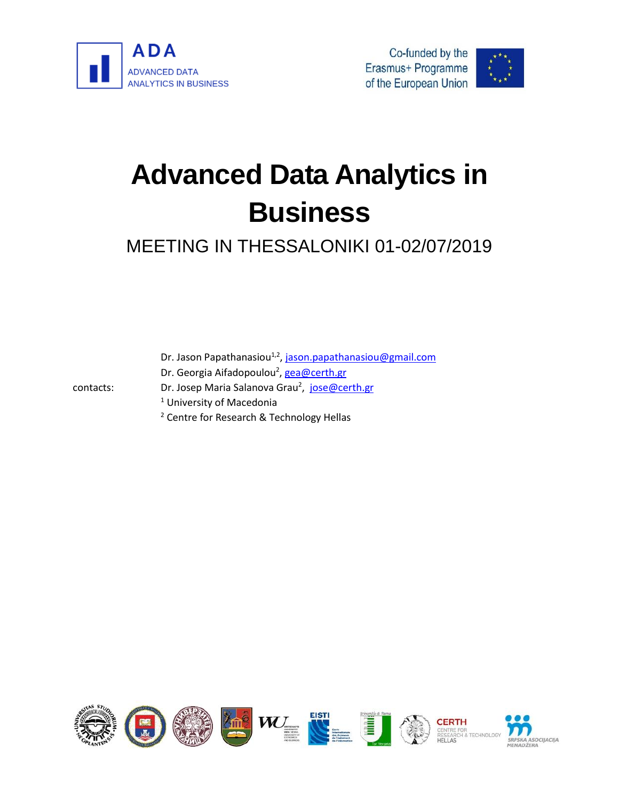





# **Advanced Data Analytics in Business**

## MEETING IN THESSALONIKI 01-02/07/2019

Dr. Jason Papathanasiou<sup>1,2</sup>, <u>jason.papathanasiou@gmail.com</u>

Dr. Georgia Aifadopoulou<sup>2</sup>[, gea@certh.gr](mailto:gea@certh.gr)

contacts:

- <sup>1</sup> University of Macedonia
- <sup>2</sup> Centre for Research & Technology Hellas

Dr. Josep Maria Salanova Grau<sup>2</sup>, [jose@certh.gr](mailto:jose@certh.gr)

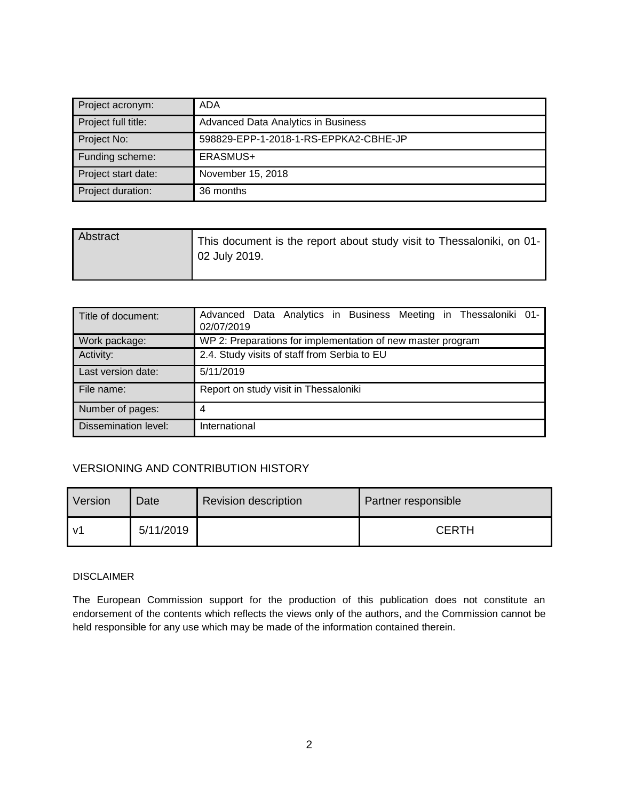| Project acronym:    | ADA                                   |  |
|---------------------|---------------------------------------|--|
| Project full title: | Advanced Data Analytics in Business   |  |
| Project No:         | 598829-EPP-1-2018-1-RS-EPPKA2-CBHE-JP |  |
| Funding scheme:     | ERASMUS+                              |  |
| Project start date: | November 15, 2018                     |  |
| Project duration:   | 36 months                             |  |

| Abstract | This document is the report about study visit to Thessaloniki, on 01-<br>02 July 2019. |
|----------|----------------------------------------------------------------------------------------|
|          |                                                                                        |

| Title of document:          | Advanced Data Analytics in Business Meeting in Thessaloniki 01-<br>02/07/2019 |  |  |
|-----------------------------|-------------------------------------------------------------------------------|--|--|
| Work package:               | WP 2: Preparations for implementation of new master program                   |  |  |
| Activity:                   | 2.4. Study visits of staff from Serbia to EU                                  |  |  |
| Last version date:          | 5/11/2019                                                                     |  |  |
| File name:                  | Report on study visit in Thessaloniki                                         |  |  |
| Number of pages:            | 4                                                                             |  |  |
| <b>Dissemination level:</b> | International                                                                 |  |  |

### VERSIONING AND CONTRIBUTION HISTORY

| Version      | Date      | <b>Revision description</b> | Partner responsible |
|--------------|-----------|-----------------------------|---------------------|
| $\mathsf{v}$ | 5/11/2019 |                             | <b>CERTH</b>        |

#### DISCLAIMER

The European Commission support for the production of this publication does not constitute an endorsement of the contents which reflects the views only of the authors, and the Commission cannot be held responsible for any use which may be made of the information contained therein.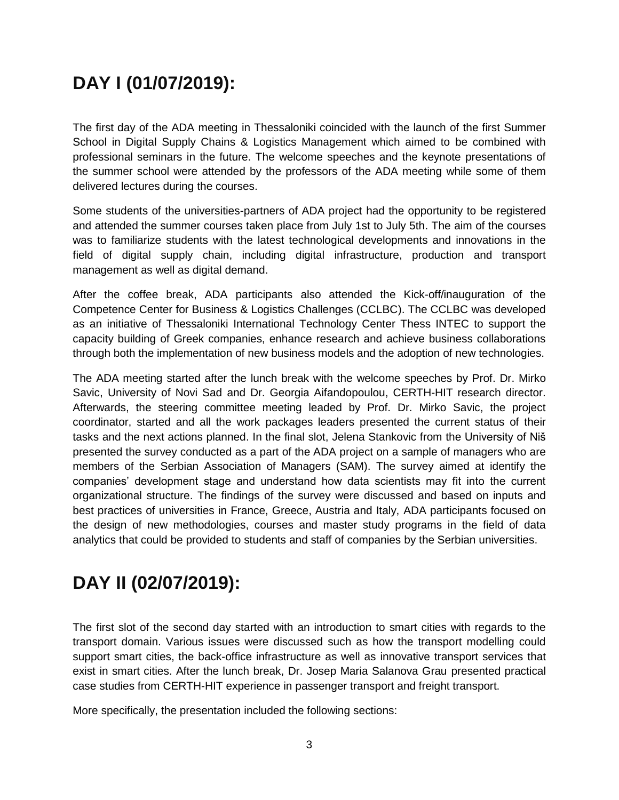## **DAY I (01/07/2019):**

The first day of the ADA meeting in Thessaloniki coincided with the launch of the first Summer School in Digital Supply Chains & Logistics Management which aimed to be combined with professional seminars in the future. The welcome speeches and the keynote presentations of the summer school were attended by the professors of the ADA meeting while some of them delivered lectures during the courses.

Some students of the universities-partners of ADA project had the opportunity to be registered and attended the summer courses taken place from July 1st to July 5th. The aim of the courses was to familiarize students with the latest technological developments and innovations in the field of digital supply chain, including digital infrastructure, production and transport management as well as digital demand.

After the coffee break, ADA participants also attended the Kick-off/inauguration of the Competence Center for Business & Logistics Challenges (CCLBC). The CCLBC was developed as an initiative of Thessaloniki International Technology Center Thess INTEC to support the capacity building of Greek companies, enhance research and achieve business collaborations through both the implementation of new business models and the adoption of new technologies.

The ADA meeting started after the lunch break with the welcome speeches by Prof. Dr. Mirko Savic, University of Novi Sad and Dr. Georgia Aifandopoulou, CERTH-HIT research director. Afterwards, the steering committee meeting leaded by Prof. Dr. Mirko Savic, the project coordinator, started and all the work packages leaders presented the current status of their tasks and the next actions planned. In the final slot, Jelena Stankovic from the University of Niš presented the survey conducted as a part of the ADA project on a sample of managers who are members of the Serbian Association of Managers (SAM). The survey aimed at identify the companies' development stage and understand how data scientists may fit into the current organizational structure. The findings of the survey were discussed and based on inputs and best practices of universities in France, Greece, Austria and Italy, ADA participants focused on the design of new methodologies, courses and master study programs in the field of data analytics that could be provided to students and staff of companies by the Serbian universities.

## **DAY II (02/07/2019):**

The first slot of the second day started with an introduction to smart cities with regards to the transport domain. Various issues were discussed such as how the transport modelling could support smart cities, the back-office infrastructure as well as innovative transport services that exist in smart cities. After the lunch break, Dr. Josep Maria Salanova Grau presented practical case studies from CERTH-HIT experience in passenger transport and freight transport.

More specifically, the presentation included the following sections: